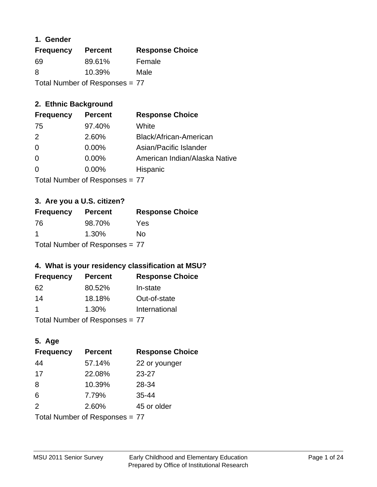# **1. Gender**

| <b>Frequency</b>               | <b>Percent</b> | <b>Response Choice</b> |
|--------------------------------|----------------|------------------------|
| 69                             | 89.61%         | Female                 |
| 8                              | $10.39\%$      | Male                   |
| Total Number of Responses = 77 |                |                        |

# **2. Ethnic Background**

| <b>Frequency</b> | <b>Percent</b> | <b>Response Choice</b>        |
|------------------|----------------|-------------------------------|
| 75               | 97.40%         | White                         |
| $\mathcal{P}$    | 2.60%          | Black/African-American        |
| $\Omega$         | $0.00\%$       | Asian/Pacific Islander        |
| $\Omega$         | 0.00%          | American Indian/Alaska Native |
|                  | 0.00%          | Hispanic                      |
|                  |                |                               |

Total Number of Responses = 77

# **3. Are you a U.S. citizen?**

| <b>Frequency</b>               | <b>Percent</b> | <b>Response Choice</b> |
|--------------------------------|----------------|------------------------|
| -76                            | 98.70%         | Yes                    |
| -1                             | $1.30\%$       | Nο                     |
| Total Number of Responses = 77 |                |                        |

# **4. What is your residency classification at MSU?**

| <b>Frequency</b> | <b>Percent</b> | <b>Response Choice</b> |
|------------------|----------------|------------------------|
| 62               | 80.52%         | In-state               |
| 14               | 18.18%         | Out-of-state           |
|                  | 1.30%          | International          |
|                  |                |                        |

Total Number of Responses = 77

# **5. Age**

| <b>Frequency</b>               | <b>Percent</b> | <b>Response Choice</b> |
|--------------------------------|----------------|------------------------|
| 44                             | 57.14%         | 22 or younger          |
| 17                             | 22.08%         | 23-27                  |
| 8                              | 10.39%         | 28-34                  |
| 6                              | 7.79%          | 35-44                  |
| 2                              | 2.60%          | 45 or older            |
| Total Number of Responses = 77 |                |                        |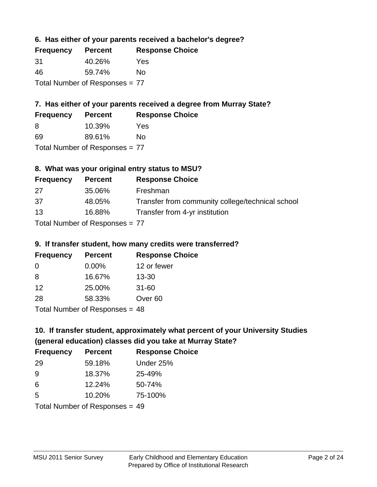# **6. Has either of your parents received a bachelor's degree?**

| <b>Frequency</b>               | <b>Percent</b> | <b>Response Choice</b> |
|--------------------------------|----------------|------------------------|
| -31                            | 40.26%         | Yes                    |
| 46                             | 59.74%         | Nο                     |
| Total Number of Responses = 77 |                |                        |

# **7. Has either of your parents received a degree from Murray State?**

| <b>Frequency</b> | <b>Percent</b> | <b>Response Choice</b> |
|------------------|----------------|------------------------|
| -8               | 10.39%         | Yes                    |
| -69              | 89.61%         | No                     |

Total Number of Responses = 77

# **8. What was your original entry status to MSU?**

| <b>Frequency</b>               | <b>Percent</b> | <b>Response Choice</b>                           |
|--------------------------------|----------------|--------------------------------------------------|
| 27                             | 35.06%         | Freshman                                         |
| 37                             | 48.05%         | Transfer from community college/technical school |
| 13                             | 16.88%         | Transfer from 4-yr institution                   |
| Total Number of Responses = 77 |                |                                                  |

### **9. If transfer student, how many credits were transferred?**

| <b>Frequency</b>                 | <b>Percent</b> | <b>Response Choice</b> |
|----------------------------------|----------------|------------------------|
| $\Omega$                         | $0.00\%$       | 12 or fewer            |
| 8                                | 16.67%         | $13 - 30$              |
| 12                               | 25.00%         | $31 - 60$              |
| -28                              | 58.33%         | Over <sub>60</sub>     |
| $Total Number of Doeponeoc = 49$ |                |                        |

Total Number of Responses = 48

# **10. If transfer student, approximately what percent of your University Studies (general education) classes did you take at Murray State?**

| <b>Frequency</b>               | <b>Percent</b> | <b>Response Choice</b> |
|--------------------------------|----------------|------------------------|
| -29                            | 59.18%         | Under 25%              |
| 9                              | 18.37%         | 25-49%                 |
| 6                              | 12.24%         | 50-74%                 |
| -5                             | 10.20%         | 75-100%                |
| Total Number of Responses = 49 |                |                        |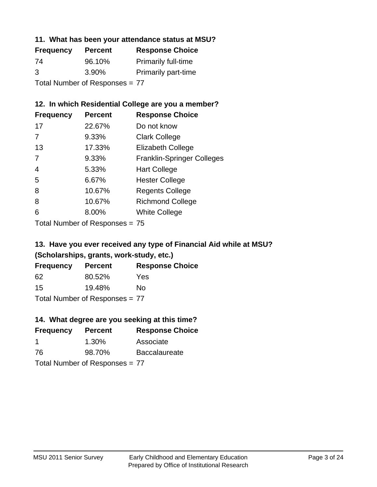# **11. What has been your attendance status at MSU?**

| <b>Frequency</b>               | <b>Percent</b> | <b>Response Choice</b>     |
|--------------------------------|----------------|----------------------------|
| 74                             | 96.10%         | <b>Primarily full-time</b> |
| 3                              | 3.90%          | <b>Primarily part-time</b> |
| Total Number of Responses = 77 |                |                            |

# **12. In which Residential College are you a member?**

| <b>Frequency</b> | <b>Percent</b> | <b>Response Choice</b>            |
|------------------|----------------|-----------------------------------|
| 17               | 22.67%         | Do not know                       |
| 7                | 9.33%          | <b>Clark College</b>              |
| 13               | 17.33%         | <b>Elizabeth College</b>          |
| 7                | 9.33%          | <b>Franklin-Springer Colleges</b> |
| 4                | 5.33%          | <b>Hart College</b>               |
| 5                | 6.67%          | <b>Hester College</b>             |
| 8                | 10.67%         | <b>Regents College</b>            |
| 8                | 10.67%         | <b>Richmond College</b>           |
| 6                | 8.00%          | <b>White College</b>              |
|                  |                |                                   |

Total Number of Responses = 75

# **13. Have you ever received any type of Financial Aid while at MSU? (Scholarships, grants, work-study, etc.)**

| <b>Frequency</b> | <b>Percent</b>               | <b>Response Choice</b> |
|------------------|------------------------------|------------------------|
| 62               | 80.52%                       | Yes                    |
| 15               | 19.48%                       | No                     |
|                  | Total Number of Deepensee 77 |                        |

Total Number of Responses = 77

# **14. What degree are you seeking at this time?**

| <b>Frequency</b> | <b>Percent</b>                 | <b>Response Choice</b> |
|------------------|--------------------------------|------------------------|
| -1               | $1.30\%$                       | Associate              |
| 76               | 98.70%                         | <b>Baccalaureate</b>   |
|                  | Total Number of Responses = 77 |                        |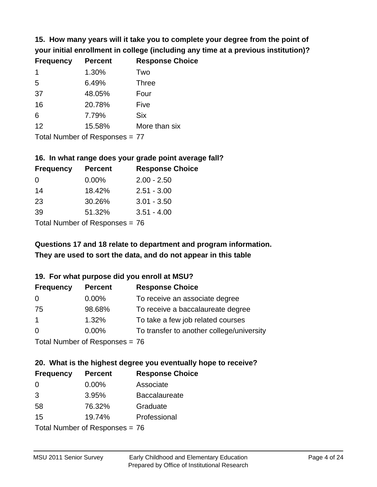**15. How many years will it take you to complete your degree from the point of your initial enrollment in college (including any time at a previous institution)?**

| <b>Frequency</b> | <b>Percent</b> | <b>Response Choice</b> |
|------------------|----------------|------------------------|
| $\mathbf 1$      | 1.30%          | Two                    |
| 5                | 6.49%          | <b>Three</b>           |
| 37               | 48.05%         | Four                   |
| 16               | 20.78%         | Five                   |
| 6                | 7.79%          | <b>Six</b>             |
| 12               | 15.58%         | More than six          |
|                  |                |                        |

Total Number of Responses = 77

#### **16. In what range does your grade point average fall?**

| <b>Frequency</b>             | <b>Percent</b> | <b>Response Choice</b> |
|------------------------------|----------------|------------------------|
| - 0                          | $0.00\%$       | $2.00 - 2.50$          |
| 14                           | 18.42%         | $2.51 - 3.00$          |
| 23                           | 30.26%         | $3.01 - 3.50$          |
| 39                           | 51.32%         | $3.51 - 4.00$          |
| Tatal Mussolian of Dannanana |                |                        |

Total Number of Responses = 76

# **They are used to sort the data, and do not appear in this table Questions 17 and 18 relate to department and program information.**

### **19. For what purpose did you enroll at MSU?**

| <b>Frequency</b> | <b>Percent</b>                 | <b>Response Choice</b>                    |
|------------------|--------------------------------|-------------------------------------------|
| $\Omega$         | $0.00\%$                       | To receive an associate degree            |
| 75               | 98.68%                         | To receive a baccalaureate degree         |
| $\overline{1}$   | 1.32%                          | To take a few job related courses         |
| $\Omega$         | $0.00\%$                       | To transfer to another college/university |
|                  | Total Number of Responses - 76 |                                           |

Total Number of Responses = 76

# **20. What is the highest degree you eventually hope to receive?**

| <b>Frequency</b> | <b>Percent</b>               | <b>Response Choice</b> |
|------------------|------------------------------|------------------------|
| 0                | 0.00%                        | Associate              |
| 3                | 3.95%                        | <b>Baccalaureate</b>   |
| 58               | 76.32%                       | Graduate               |
| 15               | 19.74%                       | Professional           |
|                  | Total Number of Deepensee 76 |                        |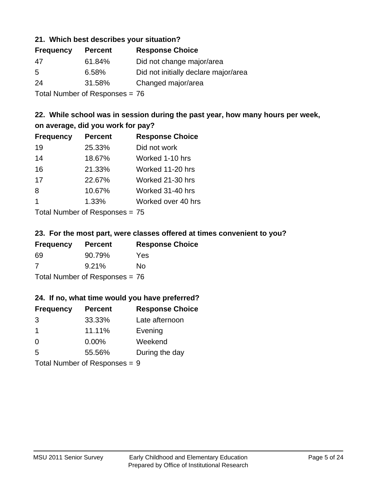### **21. Which best describes your situation?**

| <b>Frequency</b> | <b>Percent</b> | <b>Response Choice</b>               |
|------------------|----------------|--------------------------------------|
| 47               | 61.84%         | Did not change major/area            |
| -5               | 6.58%          | Did not initially declare major/area |
| 24               | 31.58%         | Changed major/area                   |
|                  |                |                                      |

Total Number of Responses = 76

# **22. While school was in session during the past year, how many hours per week, on average, did you work for pay?**

| <b>Frequency</b> | <b>Percent</b> | <b>Response Choice</b> |
|------------------|----------------|------------------------|
| 19               | 25.33%         | Did not work           |
| 14               | 18.67%         | Worked 1-10 hrs        |
| 16               | 21.33%         | Worked 11-20 hrs       |
| 17               | 22.67%         | Worked 21-30 hrs       |
| 8                | 10.67%         | Worked 31-40 hrs       |
| $\mathbf 1$      | 1.33%          | Worked over 40 hrs     |
|                  |                |                        |

Total Number of Responses = 75

### **23. For the most part, were classes offered at times convenient to you?**

| <b>Frequency</b>               | <b>Percent</b> | <b>Response Choice</b> |
|--------------------------------|----------------|------------------------|
| 69                             | 90.79%         | Yes                    |
| -7                             | 9.21%          | Nο                     |
| Total Number of Responses = 76 |                |                        |

### **24. If no, what time would you have preferred?**

| <b>Frequency</b>              | <b>Percent</b> | <b>Response Choice</b> |
|-------------------------------|----------------|------------------------|
| 3                             | 33.33%         | Late afternoon         |
| $\overline{1}$                | 11.11%         | Evening                |
| 0                             | $0.00\%$       | Weekend                |
| 5                             | 55.56%         | During the day         |
| Total Number of Responses = 9 |                |                        |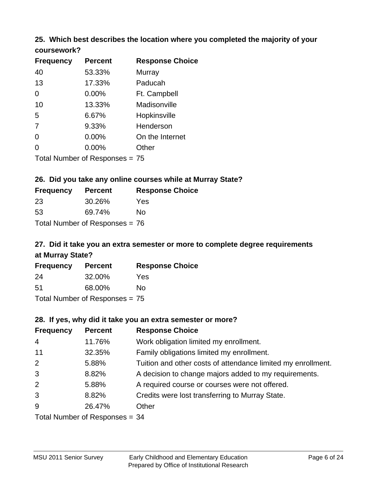# **25. Which best describes the location where you completed the majority of your**

| coursework? |  |
|-------------|--|
|-------------|--|

| <b>Frequency</b> | <b>Percent</b>                   | <b>Response Choice</b> |
|------------------|----------------------------------|------------------------|
| 40               | 53.33%                           | Murray                 |
| 13               | 17.33%                           | Paducah                |
| 0                | $0.00\%$                         | Ft. Campbell           |
| 10               | 13.33%                           | Madisonville           |
| 5                | 6.67%                            | Hopkinsville           |
| 7                | 9.33%                            | Henderson              |
| 0                | 0.00%                            | On the Internet        |
| 0                | 0.00%                            | Other                  |
|                  | Total Number of Responses $= 75$ |                        |

### **26. Did you take any online courses while at Murray State?**

| <b>Frequency</b> | <b>Percent</b>                 | <b>Response Choice</b> |
|------------------|--------------------------------|------------------------|
| -23              | 30.26%                         | Yes                    |
| -53              | 69.74%                         | Nο                     |
|                  | Total Number of Responses = 76 |                        |

# **27. Did it take you an extra semester or more to complete degree requirements at Murray State?**

| <b>Frequency</b>                 | <b>Percent</b> | <b>Response Choice</b> |  |  |
|----------------------------------|----------------|------------------------|--|--|
| 24                               | 32.00%         | Yes                    |  |  |
| .51                              | 68.00%         | Nο                     |  |  |
| Total Number of Responses = $75$ |                |                        |  |  |

### **28. If yes, why did it take you an extra semester or more?**

| <b>Frequency</b>               | <b>Percent</b> | <b>Response Choice</b>                                       |  |  |
|--------------------------------|----------------|--------------------------------------------------------------|--|--|
| $\overline{4}$                 | 11.76%         | Work obligation limited my enrollment.                       |  |  |
| 11                             | 32.35%         | Family obligations limited my enrollment.                    |  |  |
| 2                              | 5.88%          | Tuition and other costs of attendance limited my enrollment. |  |  |
| 3                              | 8.82%          | A decision to change majors added to my requirements.        |  |  |
| 2                              | 5.88%          | A required course or courses were not offered.               |  |  |
| 3                              | 8.82%          | Credits were lost transferring to Murray State.              |  |  |
| 9                              | 26.47%         | Other                                                        |  |  |
| Total Number of Responses = 34 |                |                                                              |  |  |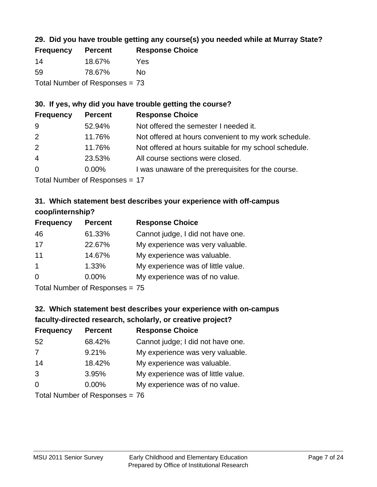# **29. Did you have trouble getting any course(s) you needed while at Murray State?**

| <b>Frequency</b>               | <b>Percent</b> | <b>Response Choice</b> |  |  |
|--------------------------------|----------------|------------------------|--|--|
| 14                             | 18.67%         | Yes                    |  |  |
| -59                            | 78.67%         | Nο                     |  |  |
| Total Number of Responses = 73 |                |                        |  |  |

# **30. If yes, why did you have trouble getting the course?**

| <b>Frequency</b> | <b>Percent</b> | <b>Response Choice</b>                                |
|------------------|----------------|-------------------------------------------------------|
| 9                | 52.94%         | Not offered the semester I needed it.                 |
| 2                | 11.76%         | Not offered at hours convenient to my work schedule.  |
| 2                | 11.76%         | Not offered at hours suitable for my school schedule. |
| $\overline{4}$   | 23.53%         | All course sections were closed.                      |
| $\overline{0}$   | $0.00\%$       | I was unaware of the prerequisites for the course.    |
|                  |                |                                                       |

Total Number of Responses = 17

# **31. Which statement best describes your experience with off-campus coop/internship?**

| <b>Frequency</b> | <b>Percent</b> | <b>Response Choice</b>             |
|------------------|----------------|------------------------------------|
| 46               | 61.33%         | Cannot judge, I did not have one.  |
| 17               | 22.67%         | My experience was very valuable.   |
| 11               | 14.67%         | My experience was valuable.        |
| $\overline{1}$   | 1.33%          | My experience was of little value. |
| $\Omega$         | 0.00%          | My experience was of no value.     |
|                  |                |                                    |

Total Number of Responses = 75

# **32. Which statement best describes your experience with on-campus faculty-directed research, scholarly, or creative project?**

| <b>Frequency</b> | <b>Percent</b>                   | <b>Response Choice</b>             |
|------------------|----------------------------------|------------------------------------|
| 52               | 68.42%                           | Cannot judge; I did not have one.  |
| 7                | 9.21%                            | My experience was very valuable.   |
| 14               | 18.42%                           | My experience was valuable.        |
| 3                | 3.95%                            | My experience was of little value. |
| $\Omega$         | $0.00\%$                         | My experience was of no value.     |
|                  | $Total Number of DoEROR 26 - 76$ |                                    |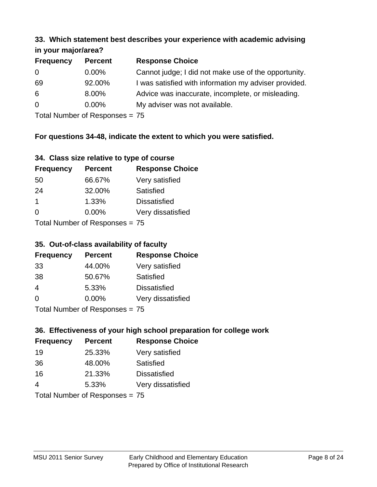#### **33. Which statement best describes your experience with academic advising in your major/area?**

| $\mathbf{u}$ yvu $\mathbf{u}$ yvu $\mathbf{v}$ |                |                                                       |
|------------------------------------------------|----------------|-------------------------------------------------------|
| <b>Frequency</b>                               | <b>Percent</b> | <b>Response Choice</b>                                |
| 0                                              | $0.00\%$       | Cannot judge; I did not make use of the opportunity.  |
| 69                                             | 92.00%         | I was satisfied with information my adviser provided. |
| 6                                              | 8.00%          | Advice was inaccurate, incomplete, or misleading.     |
| $\overline{0}$                                 | $0.00\%$       | My adviser was not available.                         |
|                                                |                |                                                       |

Total Number of Responses = 75

# **For questions 34-48, indicate the extent to which you were satisfied.**

| 34. Class size relative to type of course |  |  |  |  |  |  |  |  |
|-------------------------------------------|--|--|--|--|--|--|--|--|
|-------------------------------------------|--|--|--|--|--|--|--|--|

| <b>Frequency</b>               | <b>Percent</b> | <b>Response Choice</b> |  |  |
|--------------------------------|----------------|------------------------|--|--|
| 50                             | 66.67%         | Very satisfied         |  |  |
| 24                             | 32.00%         | <b>Satisfied</b>       |  |  |
| -1                             | 1.33%          | <b>Dissatisfied</b>    |  |  |
| $\Omega$                       | $0.00\%$       | Very dissatisfied      |  |  |
| Total Number of Responses = 75 |                |                        |  |  |

# **35. Out-of-class availability of faculty**

| <b>Frequency</b>             | <b>Percent</b> | <b>Response Choice</b> |  |  |
|------------------------------|----------------|------------------------|--|--|
| 33                           | 44.00%         | Very satisfied         |  |  |
| 38                           | 50.67%         | Satisfied              |  |  |
| $\overline{4}$               | 5.33%          | <b>Dissatisfied</b>    |  |  |
| $\Omega$                     | 0.00%          | Very dissatisfied      |  |  |
| Total Number of Deepensee 75 |                |                        |  |  |

Total Number of Responses = 75

# **36. Effectiveness of your high school preparation for college work**

| <b>Frequency</b>           | <b>Percent</b> | <b>Response Choice</b> |
|----------------------------|----------------|------------------------|
| 19                         | 25.33%         | Very satisfied         |
| 36                         | 48.00%         | Satisfied              |
| 16                         | 21.33%         | <b>Dissatisfied</b>    |
| $\overline{4}$             | 5.33%          | Very dissatisfied      |
| Total Number of Desperance |                |                        |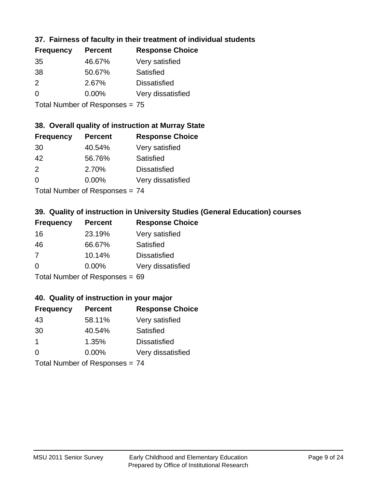# **37. Fairness of faculty in their treatment of individual students**

| <b>Frequency</b> | <b>Percent</b> | <b>Response Choice</b> |
|------------------|----------------|------------------------|
| 35               | 46.67%         | Very satisfied         |
| 38               | 50.67%         | Satisfied              |
| 2                | 2.67%          | <b>Dissatisfied</b>    |
| $\Omega$         | $0.00\%$       | Very dissatisfied      |
|                  |                |                        |

Total Number of Responses = 75

### **38. Overall quality of instruction at Murray State**

| <b>Frequency</b> | <b>Percent</b> | <b>Response Choice</b> |
|------------------|----------------|------------------------|
| 30               | 40.54%         | Very satisfied         |
| 42               | 56.76%         | Satisfied              |
| $\mathcal{P}$    | 2.70%          | <b>Dissatisfied</b>    |
| $\Omega$         | 0.00%          | Very dissatisfied      |
|                  |                |                        |

Total Number of Responses = 74

# **39. Quality of instruction in University Studies (General Education) courses**

| <b>Frequency</b> | <b>Percent</b>            | <b>Response Choice</b> |
|------------------|---------------------------|------------------------|
| 16               | 23.19%                    | Very satisfied         |
| 46               | 66.67%                    | Satisfied              |
| 7                | 10.14%                    | <b>Dissatisfied</b>    |
| $\Omega$         | 0.00%                     | Very dissatisfied      |
|                  | Total Number of Despanses |                        |

Total Number of Responses = 69

### **40. Quality of instruction in your major**

| <b>Frequency</b> | <b>Percent</b>            | <b>Response Choice</b> |
|------------------|---------------------------|------------------------|
| 43               | 58.11%                    | Very satisfied         |
| 30               | 40.54%                    | Satisfied              |
| $\mathbf 1$      | 1.35%                     | <b>Dissatisfied</b>    |
| $\Omega$         | 0.00%                     | Very dissatisfied      |
|                  | Total Number of Deepensee |                        |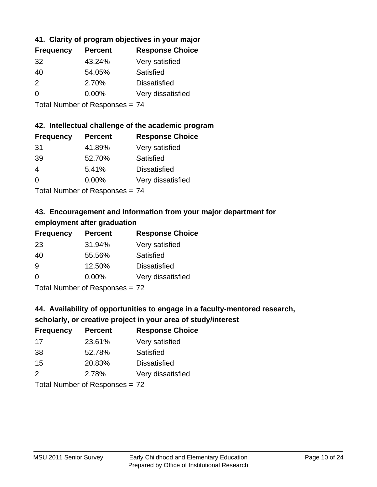# **41. Clarity of program objectives in your major**

| <b>Frequency</b> | <b>Percent</b> | <b>Response Choice</b> |
|------------------|----------------|------------------------|
| -32              | 43.24%         | Very satisfied         |
| 40               | 54.05%         | Satisfied              |
| $\mathcal{P}$    | 2.70%          | <b>Dissatisfied</b>    |
| $\Omega$         | $0.00\%$       | Very dissatisfied      |
|                  |                |                        |

Total Number of Responses = 74

### **42. Intellectual challenge of the academic program**

| <b>Frequency</b> | <b>Percent</b> | <b>Response Choice</b> |
|------------------|----------------|------------------------|
| 31               | 41.89%         | Very satisfied         |
| 39               | 52.70%         | Satisfied              |
| $\overline{4}$   | 5.41%          | <b>Dissatisfied</b>    |
| $\Omega$         | 0.00%          | Very dissatisfied      |
|                  |                |                        |

Total Number of Responses = 74

# **43. Encouragement and information from your major department for employment after graduation**

| <b>Frequency</b> | <b>Percent</b> | <b>Response Choice</b> |
|------------------|----------------|------------------------|
| 23               | 31.94%         | Very satisfied         |
| 40               | 55.56%         | Satisfied              |
| 9                | 12.50%         | <b>Dissatisfied</b>    |
| $\Omega$         | $0.00\%$       | Very dissatisfied      |
|                  |                |                        |

Total Number of Responses = 72

# **44. Availability of opportunities to engage in a faculty-mentored research,**

### **scholarly, or creative project in your area of study/interest**

| <b>Frequency</b> | <b>Percent</b> | <b>Response Choice</b> |
|------------------|----------------|------------------------|
| 17               | 23.61%         | Very satisfied         |
| 38               | 52.78%         | Satisfied              |
| 15               | 20.83%         | <b>Dissatisfied</b>    |
| $\mathcal{P}$    | 2.78%          | Very dissatisfied      |
|                  |                |                        |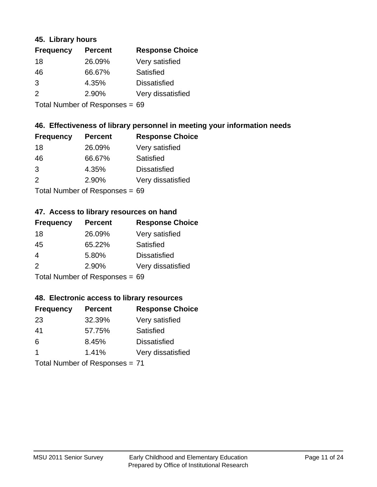### **45. Library hours**

| <b>Frequency</b> | <b>Percent</b> | <b>Response Choice</b> |
|------------------|----------------|------------------------|
| 18               | 26.09%         | Very satisfied         |
| 46               | 66.67%         | Satisfied              |
| 3                | 4.35%          | <b>Dissatisfied</b>    |
| $\mathcal{P}$    | 2.90%          | Very dissatisfied      |
|                  |                |                        |

Total Number of Responses = 69

# **46. Effectiveness of library personnel in meeting your information needs**

| <b>Frequency</b> | <b>Percent</b> | <b>Response Choice</b> |
|------------------|----------------|------------------------|
| 18               | 26.09%         | Very satisfied         |
| 46               | 66.67%         | Satisfied              |
| 3                | 4.35%          | <b>Dissatisfied</b>    |
| 2                | 2.90%          | Very dissatisfied      |
|                  |                |                        |

Total Number of Responses = 69

#### **47. Access to library resources on hand**

| <b>Frequency</b> | <b>Percent</b>            | <b>Response Choice</b> |
|------------------|---------------------------|------------------------|
| 18               | 26.09%                    | Very satisfied         |
| 45               | 65.22%                    | Satisfied              |
| $\overline{4}$   | 5.80%                     | <b>Dissatisfied</b>    |
| $\mathcal{P}$    | 2.90%                     | Very dissatisfied      |
|                  | Total Number of Deepensee |                        |

Total Number of Responses = 69

### **48. Electronic access to library resources**

| <b>Frequency</b>               | <b>Percent</b> | <b>Response Choice</b> |
|--------------------------------|----------------|------------------------|
| 23                             | 32.39%         | Very satisfied         |
| 41                             | 57.75%         | Satisfied              |
| 6                              | 8.45%          | <b>Dissatisfied</b>    |
| $\mathbf 1$                    | 1.41%          | Very dissatisfied      |
| Total Number of Responses = 71 |                |                        |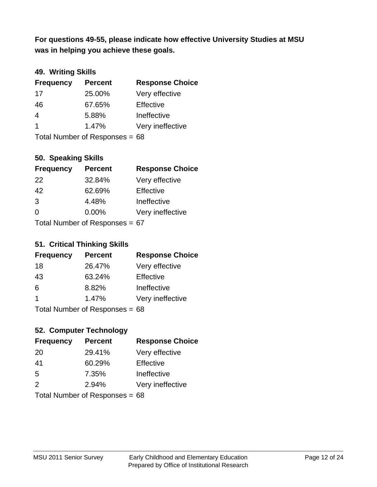**was in helping you achieve these goals. For questions 49-55, please indicate how effective University Studies at MSU** 

# **49. Writing Skills**

| <b>Frequency</b> | <b>Percent</b>                 | <b>Response Choice</b> |
|------------------|--------------------------------|------------------------|
| 17               | 25.00%                         | Very effective         |
| 46               | 67.65%                         | Effective              |
| 4                | 5.88%                          | Ineffective            |
| $\mathbf 1$      | 1.47%                          | Very ineffective       |
|                  | Total Number of Responses = 68 |                        |

**50. Speaking Skills**

| <b>Frequency</b>               | <b>Percent</b> | <b>Response Choice</b> |
|--------------------------------|----------------|------------------------|
| 22                             | 32.84%         | Very effective         |
| 42                             | 62.69%         | Effective              |
| 3                              | 4.48%          | Ineffective            |
| $\Omega$                       | $0.00\%$       | Very ineffective       |
| Total Number of Poenances - 67 |                |                        |

Total Number of Responses = 67

### **51. Critical Thinking Skills**

| <b>Frequency</b> | <b>Percent</b>            | <b>Response Choice</b> |
|------------------|---------------------------|------------------------|
| 18               | 26.47%                    | Very effective         |
| 43               | 63.24%                    | Effective              |
| 6                | 8.82%                     | Ineffective            |
| -1               | 1.47%                     | Very ineffective       |
|                  | Total Number of Depanonce |                        |

Total Number of Responses = 68

# **52. Computer Technology**

| <b>Frequency</b>               | <b>Percent</b> | <b>Response Choice</b> |
|--------------------------------|----------------|------------------------|
| 20                             | 29.41%         | Very effective         |
| 41                             | 60.29%         | Effective              |
| 5                              | 7.35%          | Ineffective            |
| $\mathcal{P}$                  | 2.94%          | Very ineffective       |
| Total Number of Responses = 68 |                |                        |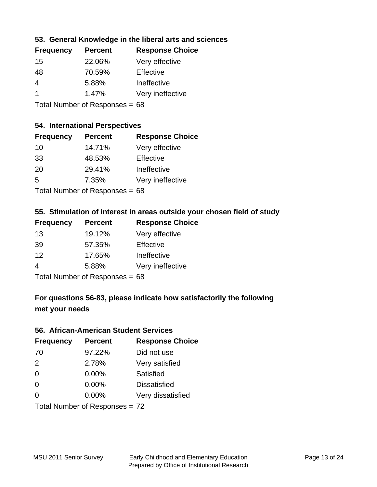# **53. General Knowledge in the liberal arts and sciences**

| <b>Frequency</b> | <b>Percent</b> | <b>Response Choice</b> |
|------------------|----------------|------------------------|
| 15               | 22.06%         | Very effective         |
| 48               | 70.59%         | Effective              |
| 4                | 5.88%          | Ineffective            |
|                  | 1.47%          | Very ineffective       |
|                  |                |                        |

Total Number of Responses = 68

### **54. International Perspectives**

| <b>Frequency</b> | <b>Percent</b> | <b>Response Choice</b> |
|------------------|----------------|------------------------|
| 10               | 14.71%         | Very effective         |
| 33               | 48.53%         | Effective              |
| 20               | 29.41%         | Ineffective            |
| .5               | 7.35%          | Very ineffective       |
|                  |                |                        |

Total Number of Responses = 68

### **55. Stimulation of interest in areas outside your chosen field of study**

| <b>Frequency</b> | <b>Percent</b>            | <b>Response Choice</b> |
|------------------|---------------------------|------------------------|
| 13               | 19.12%                    | Very effective         |
| 39               | 57.35%                    | Effective              |
| 12               | 17.65%                    | Ineffective            |
| 4                | 5.88%                     | Very ineffective       |
|                  | Total Number of Despanses |                        |

Total Number of Responses = 68

# **For questions 56-83, please indicate how satisfactorily the following met your needs**

#### **56. African-American Student Services**

| <b>Frequency</b> | <b>Percent</b>                 | <b>Response Choice</b> |
|------------------|--------------------------------|------------------------|
| 70               | 97.22%                         | Did not use            |
| 2                | 2.78%                          | Very satisfied         |
| 0                | 0.00%                          | Satisfied              |
| $\Omega$         | 0.00%                          | <b>Dissatisfied</b>    |
| $\Omega$         | 0.00%                          | Very dissatisfied      |
|                  | Total Number of Responses = 72 |                        |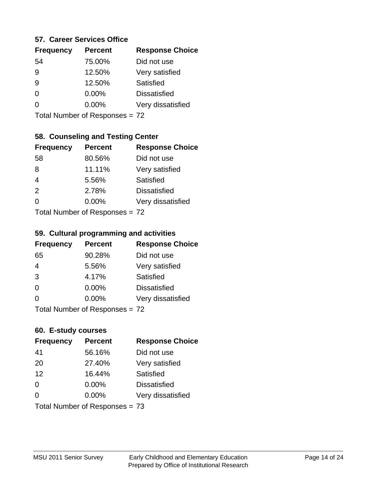### **57. Career Services Office**

| <b>Frequency</b> | <b>Percent</b> | <b>Response Choice</b> |
|------------------|----------------|------------------------|
| 54               | 75.00%         | Did not use            |
| 9                | 12.50%         | Very satisfied         |
| 9                | 12.50%         | Satisfied              |
| 0                | $0.00\%$       | <b>Dissatisfied</b>    |
|                  | $0.00\%$       | Very dissatisfied      |
|                  |                |                        |

Total Number of Responses = 72

# **58. Counseling and Testing Center**

| <b>Frequency</b> | <b>Percent</b>                   | <b>Response Choice</b> |
|------------------|----------------------------------|------------------------|
| 58               | 80.56%                           | Did not use            |
| 8                | 11.11%                           | Very satisfied         |
| $\overline{4}$   | 5.56%                            | <b>Satisfied</b>       |
| 2                | 2.78%                            | <b>Dissatisfied</b>    |
| $\Omega$         | 0.00%                            | Very dissatisfied      |
|                  | $Total Number of DoEROR 20 = 72$ |                        |

Total Number of Responses = 72

#### **59. Cultural programming and activities**

| <b>Frequency</b> | <b>Percent</b>                 | <b>Response Choice</b> |
|------------------|--------------------------------|------------------------|
| 65               | 90.28%                         | Did not use            |
| $\overline{4}$   | 5.56%                          | Very satisfied         |
| 3                | 4.17%                          | Satisfied              |
| 0                | 0.00%                          | <b>Dissatisfied</b>    |
| $\Omega$         | 0.00%                          | Very dissatisfied      |
|                  | Total Number of Responses = 72 |                        |

### **60. E-study courses**

| <b>Frequency</b> | <b>Percent</b>                 | <b>Response Choice</b> |
|------------------|--------------------------------|------------------------|
| 41               | 56.16%                         | Did not use            |
| 20               | 27.40%                         | Very satisfied         |
| 12               | 16.44%                         | Satisfied              |
| $\Omega$         | 0.00%                          | <b>Dissatisfied</b>    |
| $\Omega$         | 0.00%                          | Very dissatisfied      |
|                  | Total Number of Responses = 73 |                        |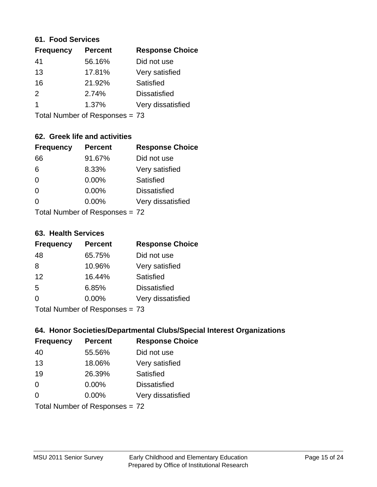#### **61. Food Services**

| <b>Percent</b> | <b>Response Choice</b> |
|----------------|------------------------|
| 56.16%         | Did not use            |
| 17.81%         | Very satisfied         |
| 21.92%         | Satisfied              |
| 2.74%          | <b>Dissatisfied</b>    |
| 1.37%          | Very dissatisfied      |
|                |                        |

Total Number of Responses = 73

# **62. Greek life and activities**

| <b>Frequency</b> | <b>Percent</b>                 | <b>Response Choice</b> |
|------------------|--------------------------------|------------------------|
| 66               | 91.67%                         | Did not use            |
| 6                | 8.33%                          | Very satisfied         |
| $\Omega$         | 0.00%                          | <b>Satisfied</b>       |
| $\Omega$         | 0.00%                          | <b>Dissatisfied</b>    |
| 0                | $0.00\%$                       | Very dissatisfied      |
|                  | Total Number of Responses = 72 |                        |

#### **63. Health Services**

| <b>Frequency</b> | <b>Percent</b>            | <b>Response Choice</b> |
|------------------|---------------------------|------------------------|
| 48               | 65.75%                    | Did not use            |
| 8                | 10.96%                    | Very satisfied         |
| 12               | 16.44%                    | Satisfied              |
| 5                | 6.85%                     | <b>Dissatisfied</b>    |
| $\Omega$         | $0.00\%$                  | Very dissatisfied      |
|                  | Total Number of Desponses |                        |

Total Number of Responses = 73

# **64. Honor Societies/Departmental Clubs/Special Interest Organizations**

| <b>Frequency</b> | <b>Percent</b>                 | <b>Response Choice</b> |
|------------------|--------------------------------|------------------------|
| 40               | 55.56%                         | Did not use            |
| 13               | 18.06%                         | Very satisfied         |
| 19               | 26.39%                         | Satisfied              |
| $\Omega$         | 0.00%                          | <b>Dissatisfied</b>    |
| $\Omega$         | 0.00%                          | Very dissatisfied      |
|                  | Total Number of Responses = 72 |                        |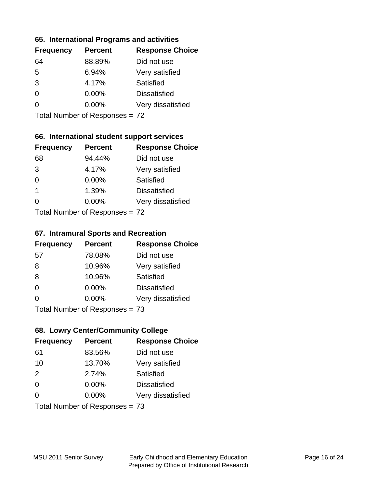### **65. International Programs and activities**

| <b>Frequency</b> | <b>Percent</b> | <b>Response Choice</b> |
|------------------|----------------|------------------------|
| 64               | 88.89%         | Did not use            |
| 5                | 6.94%          | Very satisfied         |
| 3                | 4.17%          | Satisfied              |
| O                | $0.00\%$       | <b>Dissatisfied</b>    |
|                  | $0.00\%$       | Very dissatisfied      |
|                  |                |                        |

Total Number of Responses = 72

# **66. International student support services**

| <b>Frequency</b> | <b>Percent</b>                      | <b>Response Choice</b> |
|------------------|-------------------------------------|------------------------|
| 68               | 94.44%                              | Did not use            |
| 3                | 4.17%                               | Very satisfied         |
| $\Omega$         | $0.00\%$                            | <b>Satisfied</b>       |
| -1               | 1.39%                               | <b>Dissatisfied</b>    |
| $\Omega$         | $0.00\%$                            | Very dissatisfied      |
|                  | Total Number of Doepo<br>po<br>0.72 |                        |

Total Number of Responses = 72

# **67. Intramural Sports and Recreation**

| <b>Frequency</b> | <b>Percent</b>                  | <b>Response Choice</b> |
|------------------|---------------------------------|------------------------|
| 57               | 78.08%                          | Did not use            |
| 8                | 10.96%                          | Very satisfied         |
| 8                | 10.96%                          | Satisfied              |
| $\Omega$         | $0.00\%$                        | <b>Dissatisfied</b>    |
| $\Omega$         | $0.00\%$                        | Very dissatisfied      |
|                  | Total Number of Reconnege $-73$ |                        |

I otal Number of Responses = 73

# **68. Lowry Center/Community College**

| <b>Frequency</b> | <b>Percent</b>                 | <b>Response Choice</b> |
|------------------|--------------------------------|------------------------|
| 61               | 83.56%                         | Did not use            |
| 10               | 13.70%                         | Very satisfied         |
| 2                | 2.74%                          | Satisfied              |
| $\Omega$         | $0.00\%$                       | <b>Dissatisfied</b>    |
| $\Omega$         | 0.00%                          | Very dissatisfied      |
|                  | Total Number of Responses = 73 |                        |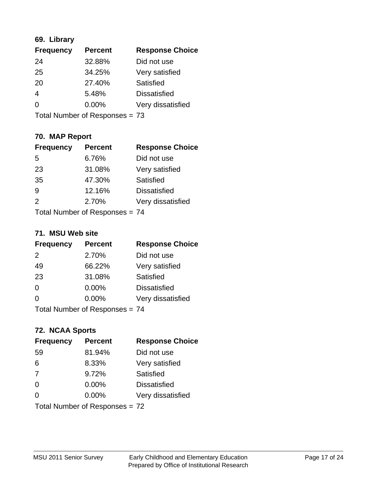# **69. Library**

| <b>Frequency</b> | <b>Percent</b> | <b>Response Choice</b> |
|------------------|----------------|------------------------|
| 24               | 32.88%         | Did not use            |
| 25               | 34.25%         | Very satisfied         |
| 20               | 27.40%         | Satisfied              |
| 4                | 5.48%          | <b>Dissatisfied</b>    |
| 0                | $0.00\%$       | Very dissatisfied      |
|                  |                |                        |

Total Number of Responses = 73

# **70. MAP Report**

| <b>Frequency</b> | <b>Percent</b>                 | <b>Response Choice</b> |
|------------------|--------------------------------|------------------------|
| 5                | 6.76%                          | Did not use            |
| 23               | 31.08%                         | Very satisfied         |
| 35               | 47.30%                         | Satisfied              |
| 9                | 12.16%                         | <b>Dissatisfied</b>    |
| $\mathcal{P}$    | 2.70%                          | Very dissatisfied      |
|                  | Total Number of Responses = 74 |                        |

### **71. MSU Web site**

| <b>Frequency</b> | <b>Percent</b>                 | <b>Response Choice</b> |
|------------------|--------------------------------|------------------------|
| $\mathcal{P}$    | 2.70%                          | Did not use            |
| 49               | 66.22%                         | Very satisfied         |
| 23               | 31.08%                         | Satisfied              |
| $\Omega$         | 0.00%                          | <b>Dissatisfied</b>    |
| 0                | 0.00%                          | Very dissatisfied      |
|                  | Total Number of Responses = 74 |                        |

# **72. NCAA Sports**

| <b>Frequency</b> | <b>Percent</b>                 | <b>Response Choice</b> |
|------------------|--------------------------------|------------------------|
| 59               | 81.94%                         | Did not use            |
| 6                | 8.33%                          | Very satisfied         |
| 7                | 9.72%                          | Satisfied              |
| $\Omega$         | 0.00%                          | <b>Dissatisfied</b>    |
| $\Omega$         | 0.00%                          | Very dissatisfied      |
|                  | Total Number of Responses = 72 |                        |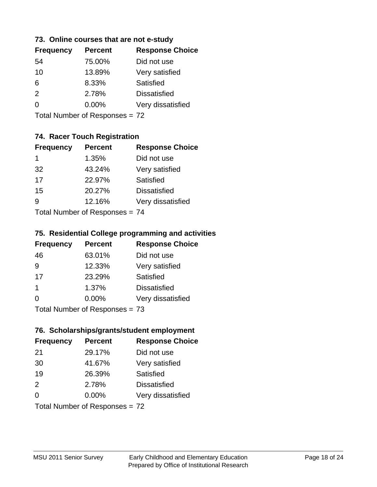### **73. Online courses that are not e-study**

| <b>Frequency</b> | <b>Percent</b> | <b>Response Choice</b> |
|------------------|----------------|------------------------|
| 54               | 75.00%         | Did not use            |
| 10               | 13.89%         | Very satisfied         |
| 6                | 8.33%          | Satisfied              |
| 2                | 2.78%          | <b>Dissatisfied</b>    |
|                  | $0.00\%$       | Very dissatisfied      |
|                  |                |                        |

Total Number of Responses = 72

# **74. Racer Touch Registration**

| <b>Frequency</b>                 | <b>Percent</b> | <b>Response Choice</b> |
|----------------------------------|----------------|------------------------|
| 1                                | 1.35%          | Did not use            |
| 32                               | 43.24%         | Very satisfied         |
| 17                               | 22.97%         | Satisfied              |
| 15                               | 20.27%         | <b>Dissatisfied</b>    |
| 9                                | 12.16%         | Very dissatisfied      |
| $Total Number of Doepopoog = 74$ |                |                        |

Total Number of Responses = 74

### **75. Residential College programming and activities**

| <b>Frequency</b>          | <b>Percent</b> | <b>Response Choice</b> |
|---------------------------|----------------|------------------------|
| 46                        | 63.01%         | Did not use            |
| 9                         | 12.33%         | Very satisfied         |
| 17                        | 23.29%         | Satisfied              |
| -1                        | 1.37%          | <b>Dissatisfied</b>    |
| $\Omega$                  | 0.00%          | Very dissatisfied      |
| Total Number of Desponses |                |                        |

Total Number of Responses = 73

### **76. Scholarships/grants/student employment**

| <b>Frequency</b> | <b>Percent</b>                 | <b>Response Choice</b> |
|------------------|--------------------------------|------------------------|
| 21               | 29.17%                         | Did not use            |
| 30               | 41.67%                         | Very satisfied         |
| 19               | 26.39%                         | Satisfied              |
| 2                | 2.78%                          | <b>Dissatisfied</b>    |
| $\Omega$         | 0.00%                          | Very dissatisfied      |
|                  | Total Number of Responses = 72 |                        |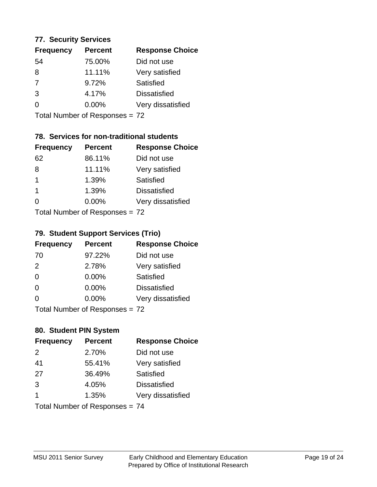### **77. Security Services**

| <b>Frequency</b> | <b>Percent</b> | <b>Response Choice</b> |
|------------------|----------------|------------------------|
| 54               | 75.00%         | Did not use            |
| 8                | 11.11%         | Very satisfied         |
| 7                | 9.72%          | Satisfied              |
| 3                | 4.17%          | <b>Dissatisfied</b>    |
| ∩                | $0.00\%$       | Very dissatisfied      |
|                  |                |                        |

Total Number of Responses = 72

# **78. Services for non-traditional students**

| <b>Frequency</b>          | <b>Percent</b> | <b>Response Choice</b> |
|---------------------------|----------------|------------------------|
| 62                        | 86.11%         | Did not use            |
| 8                         | 11.11%         | Very satisfied         |
| $\mathbf{1}$              | 1.39%          | <b>Satisfied</b>       |
| $\overline{1}$            | 1.39%          | <b>Dissatisfied</b>    |
| ∩                         | 0.00%          | Very dissatisfied      |
| Total Number of Desponses |                |                        |

Total Number of Responses = 72

# **79. Student Support Services (Trio)**

| <b>Frequency</b>               | <b>Percent</b> | <b>Response Choice</b> |
|--------------------------------|----------------|------------------------|
| 70                             | 97.22%         | Did not use            |
| 2                              | 2.78%          | Very satisfied         |
| $\Omega$                       | 0.00%          | Satisfied              |
| $\Omega$                       | 0.00%          | <b>Dissatisfied</b>    |
| $\Omega$                       | 0.00%          | Very dissatisfied      |
| Total Number of Deconoces - 72 |                |                        |

I otal Number of Responses = 72

# **80. Student PIN System**

| <b>Frequency</b> | <b>Percent</b>                 | <b>Response Choice</b> |
|------------------|--------------------------------|------------------------|
| 2                | 2.70%                          | Did not use            |
| 41               | 55.41%                         | Very satisfied         |
| 27               | 36.49%                         | Satisfied              |
| 3                | 4.05%                          | <b>Dissatisfied</b>    |
| 1                | 1.35%                          | Very dissatisfied      |
|                  | Total Number of Responses = 74 |                        |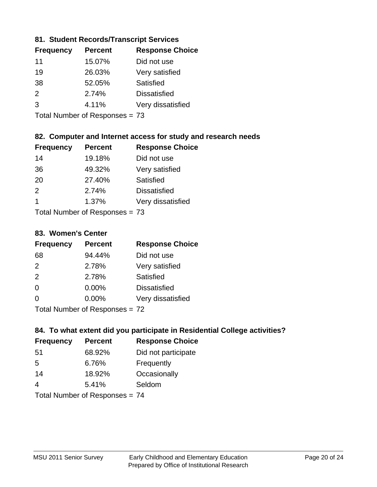# **81. Student Records/Transcript Services**

| <b>Percent</b> | <b>Response Choice</b> |
|----------------|------------------------|
| 15.07%         | Did not use            |
| 26.03%         | Very satisfied         |
| 52.05%         | Satisfied              |
| 2.74%          | <b>Dissatisfied</b>    |
| 4.11%          | Very dissatisfied      |
|                |                        |

Total Number of Responses = 73

# **82. Computer and Internet access for study and research needs**

| <b>Frequency</b>         | <b>Percent</b> | <b>Response Choice</b> |
|--------------------------|----------------|------------------------|
| 14                       | 19.18%         | Did not use            |
| 36                       | 49.32%         | Very satisfied         |
| 20                       | 27.40%         | <b>Satisfied</b>       |
| 2                        | 2.74%          | <b>Dissatisfied</b>    |
| 1                        | 1.37%          | Very dissatisfied      |
| Tatal Massakan af Dagman |                |                        |

Total Number of Responses = 73

#### **83. Women's Center**

| <b>Frequency</b> | <b>Percent</b>            | <b>Response Choice</b> |
|------------------|---------------------------|------------------------|
| 68               | 94.44%                    | Did not use            |
| $\mathcal{P}$    | 2.78%                     | Very satisfied         |
| 2                | 2.78%                     | <b>Satisfied</b>       |
| $\Omega$         | $0.00\%$                  | <b>Dissatisfied</b>    |
| $\Omega$         | 0.00%                     | Very dissatisfied      |
|                  | Total Number of Deepersee |                        |

Total Number of Responses = 72

# **84. To what extent did you participate in Residential College activities?**

| <b>Frequency</b> | <b>Percent</b>             | <b>Response Choice</b> |
|------------------|----------------------------|------------------------|
| -51              | 68.92%                     | Did not participate    |
| .5               | 6.76%                      | Frequently             |
| 14               | 18.92%                     | Occasionally           |
| 4                | 5.41%                      | Seldom                 |
|                  | Total Number of Desperance |                        |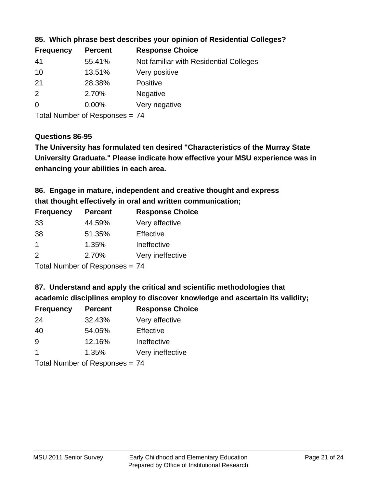| <b>Frequency</b> | <b>Percent</b> | <b>Response Choice</b>                 |
|------------------|----------------|----------------------------------------|
| -41              | 55.41%         | Not familiar with Residential Colleges |
| 10               | 13.51%         | Very positive                          |
| 21               | 28.38%         | <b>Positive</b>                        |
| -2               | 2.70%          | <b>Negative</b>                        |
| $\overline{0}$   | $0.00\%$       | Very negative                          |
|                  |                |                                        |

# **85. Which phrase best describes your opinion of Residential Colleges?**

Total Number of Responses = 74

### **Questions 86-95**

**University Graduate." Please indicate how effective your MSU experience was in The University has formulated ten desired "Characteristics of the Murray State enhancing your abilities in each area.**

# **86. Engage in mature, independent and creative thought and express that thought effectively in oral and written communication;**

| <b>Frequency</b> | <b>Percent</b> | <b>Response Choice</b> |
|------------------|----------------|------------------------|
| 33               | 44.59%         | Very effective         |
| 38               | 51.35%         | Effective              |
|                  | 1.35%          | Ineffective            |
| $\mathcal{P}$    | 2.70%          | Very ineffective       |

Total Number of Responses = 74

### **87. Understand and apply the critical and scientific methodologies that**

**academic disciplines employ to discover knowledge and ascertain its validity;**

| <b>Frequency</b> | <b>Percent</b> | <b>Response Choice</b> |
|------------------|----------------|------------------------|
| 24               | 32.43%         | Very effective         |
| 40               | 54.05%         | Effective              |
| 9                | 12.16%         | Ineffective            |
| $\overline{1}$   | 1.35%          | Very ineffective       |
|                  |                |                        |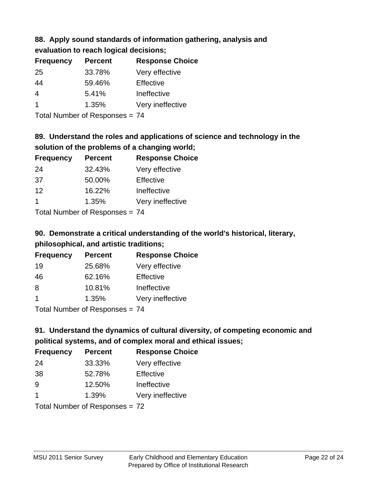# **88. Apply sound standards of information gathering, analysis and**

| evaluation to reach logical decisions; |  |
|----------------------------------------|--|
|----------------------------------------|--|

| <b>Frequency</b> | <b>Percent</b> | <b>Response Choice</b> |
|------------------|----------------|------------------------|
| -25              | 33.78%         | Very effective         |
| 44               | 59.46%         | Effective              |
| 4                | 5.41%          | Ineffective            |
|                  | 1.35%          | Very ineffective       |

Total Number of Responses = 74

# **89. Understand the roles and applications of science and technology in the solution of the problems of a changing world;**

| <b>Frequency</b>     | <b>Percent</b> | <b>Response Choice</b> |
|----------------------|----------------|------------------------|
| 24                   | 32.43%         | Very effective         |
| 37                   | 50.00%         | Effective              |
| 12                   | 16.22%         | Ineffective            |
| $\blacktriangleleft$ | 1.35%          | Very ineffective       |
|                      |                |                        |

Total Number of Responses = 74

# **90. Demonstrate a critical understanding of the world's historical, literary, philosophical, and artistic traditions;**

| <b>Frequency</b> | <b>Percent</b> | <b>Response Choice</b> |
|------------------|----------------|------------------------|
| 19               | 25.68%         | Very effective         |
| 46               | 62.16%         | Effective              |
| 8                | 10.81%         | Ineffective            |
|                  | 1.35%          | Very ineffective       |
|                  |                |                        |

Total Number of Responses = 74

# **91. Understand the dynamics of cultural diversity, of competing economic and political systems, and of complex moral and ethical issues;**

| <b>Frequency</b> | <b>Percent</b>                 | <b>Response Choice</b> |
|------------------|--------------------------------|------------------------|
| 24               | 33.33%                         | Very effective         |
| 38               | 52.78%                         | Effective              |
| 9                | 12.50%                         | Ineffective            |
| $\mathbf 1$      | 1.39%                          | Very ineffective       |
|                  | Total Number of Responses = 72 |                        |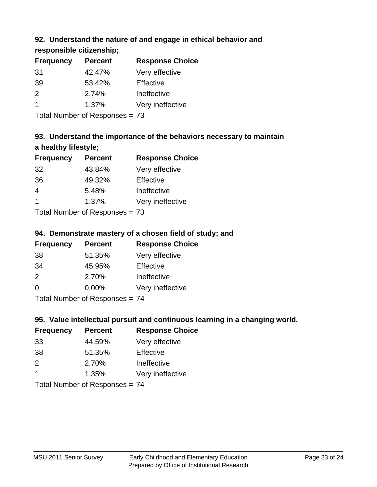# **92. Understand the nature of and engage in ethical behavior and**

**responsible citizenship;**

| <b>Frequency</b> | <b>Percent</b> | <b>Response Choice</b> |
|------------------|----------------|------------------------|
| -31              | 42.47%         | Very effective         |
| 39               | 53.42%         | Effective              |
| $\mathcal{P}$    | 2.74%          | Ineffective            |
|                  | 1.37%          | Very ineffective       |
|                  |                |                        |

Total Number of Responses = 73

# **93. Understand the importance of the behaviors necessary to maintain a healthy lifestyle;**

| <b>Frequency</b>         | <b>Percent</b> | <b>Response Choice</b> |
|--------------------------|----------------|------------------------|
| 32                       | 43.84%         | Very effective         |
| 36                       | 49.32%         | Effective              |
| 4                        | 5.48%          | Ineffective            |
| $\blacktriangleleft$     | 1.37%          | Very ineffective       |
| Tatal Massakan af Dannan |                |                        |

Total Number of Responses = 73

# **94. Demonstrate mastery of a chosen field of study; and**

| <b>Frequency</b> | <b>Percent</b> | <b>Response Choice</b> |
|------------------|----------------|------------------------|
| 38               | 51.35%         | Very effective         |
| 34               | 45.95%         | <b>Effective</b>       |
| $\mathcal{P}$    | 2.70%          | Ineffective            |
| $\Omega$         | $0.00\%$       | Very ineffective       |
|                  |                |                        |

Total Number of Responses = 74

# **95. Value intellectual pursuit and continuous learning in a changing world.**

| <b>Frequency</b> | <b>Percent</b> | <b>Response Choice</b> |
|------------------|----------------|------------------------|
| 33               | 44.59%         | Very effective         |
| 38               | 51.35%         | Effective              |
| $\mathcal{P}$    | 2.70%          | Ineffective            |
| -1               | 1.35%          | Very ineffective       |
|                  |                |                        |